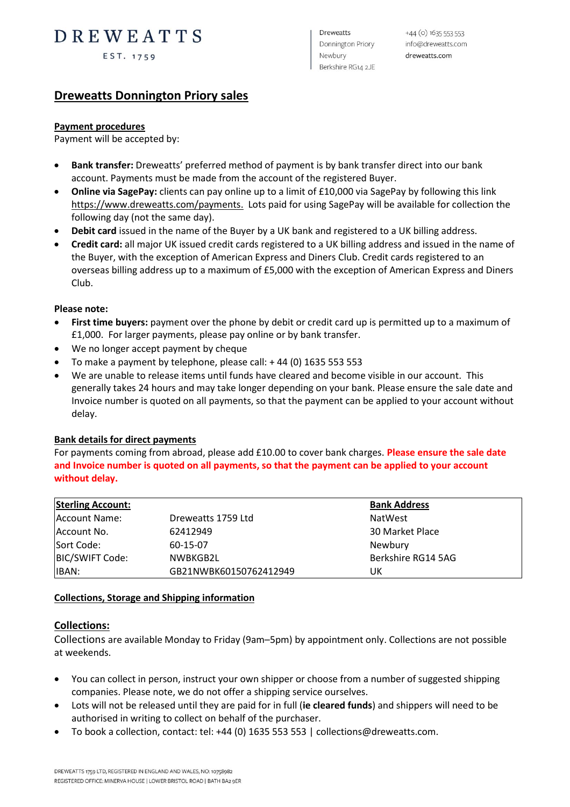# DREWEATTS

EST. 1759

**Dreweatts** Donnington Priory Newbury Berkshire RG14 2JE

# **Dreweatts Donnington Priory sales**

# **Payment procedures**

Payment will be accepted by:

- **Bank transfer:** Dreweatts' preferred method of payment is by bank transfer direct into our bank account. Payments must be made from the account of the registered Buyer.
- **Online via SagePay:** clients can pay online up to a limit of £10,000 via SagePay by following this link [https://www.dreweatts.com/payments.](https://www.dreweatts.com/payments) Lots paid for using SagePay will be available for collection the following day (not the same day).
- **Debit card** issued in the name of the Buyer by a UK bank and registered to a UK billing address.
- **Credit card:** all major UK issued credit cards registered to a UK billing address and issued in the name of the Buyer, with the exception of American Express and Diners Club. Credit cards registered to an overseas billing address up to a maximum of £5,000 with the exception of American Express and Diners Club.

#### **Please note:**

- **First time buyers:** payment over the phone by debit or credit card up is permitted up to a maximum of £1,000. For larger payments, please pay online or by bank transfer.
- We no longer accept payment by cheque
- To make a payment by telephone, please call:  $+44$  (0) 1635 553 553
- We are unable to release items until funds have cleared and become visible in our account. This generally takes 24 hours and may take longer depending on your bank. Please ensure the sale date and Invoice number is quoted on all payments, so that the payment can be applied to your account without delay.

# **Bank details for direct payments**

For payments coming from abroad, please add £10.00 to cover bank charges. **Please ensure the sale date and Invoice number is quoted on all payments, so that the payment can be applied to your account without delay.**

| <b>Sterling Account:</b> |                        | <b>Bank Address</b> |
|--------------------------|------------------------|---------------------|
| Account Name:            | Dreweatts 1759 Ltd     | NatWest             |
| Account No.              | 62412949               | 30 Market Place     |
| Sort Code:               | 60-15-07               | Newbury             |
| BIC/SWIFT Code:          | NWBKGB2L               | Berkshire RG14 5AG  |
| IBAN:                    | GB21NWBK60150762412949 | UK                  |

# **Collections, Storage and Shipping information**

# **Collections:**

Collections are available Monday to Friday (9am–5pm) by appointment only. Collections are not possible at weekends.

- You can collect in person, instruct your own shipper or choose from a number of suggested shipping companies. Please note, we do not offer a shipping service ourselves.
- Lots will not be released until they are paid for in full (**ie cleared funds**) and shippers will need to be authorised in writing to collect on behalf of the purchaser.
- To book a collection, contact: tel: +44 (0) 1635 553 553 | collections@dreweatts.com.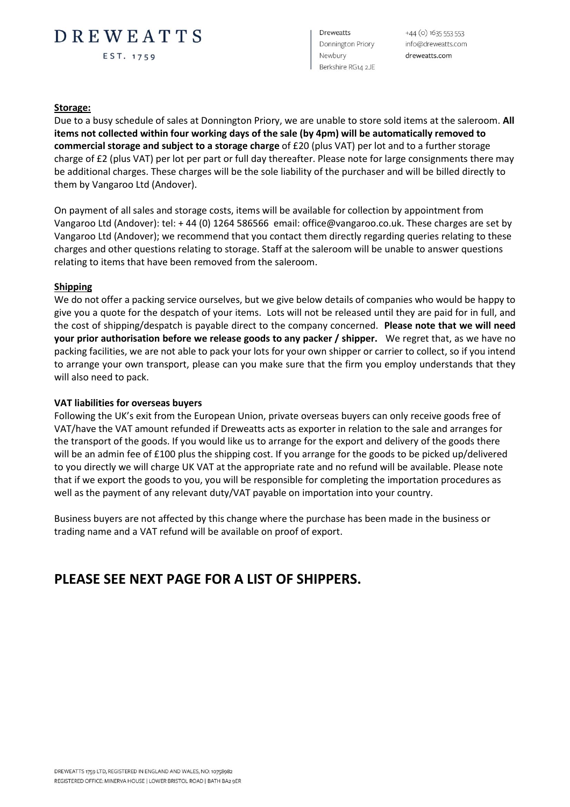# DREWEATTS

EST. 1759

**Dreweatts** Donnington Priory Newbury Berkshire RG14 2JE

 $+44$  (o)  $16355535353$ info@dreweatts.com dreweatts.com

#### **Storage:**

Due to a busy schedule of sales at Donnington Priory, we are unable to store sold items at the saleroom. **All items not collected within four working days of the sale (by 4pm) will be automatically removed to commercial storage and subject to a storage charge** of £20 (plus VAT) per lot and to a further storage charge of £2 (plus VAT) per lot per part or full day thereafter. Please note for large consignments there may be additional charges. These charges will be the sole liability of the purchaser and will be billed directly to them by Vangaroo Ltd (Andover).

On payment of all sales and storage costs, items will be available for collection by appointment from Vangaroo Ltd (Andover): tel: + 44 (0) 1264 586566 email: office@vangaroo.co.uk. These charges are set by Vangaroo Ltd (Andover); we recommend that you contact them directly regarding queries relating to these charges and other questions relating to storage. Staff at the saleroom will be unable to answer questions relating to items that have been removed from the saleroom.

# **Shipping**

We do not offer a packing service ourselves, but we give below details of companies who would be happy to give you a quote for the despatch of your items. Lots will not be released until they are paid for in full, and the cost of shipping/despatch is payable direct to the company concerned. **Please note that we will need your prior authorisation before we release goods to any packer / shipper.** We regret that, as we have no packing facilities, we are not able to pack your lots for your own shipper or carrier to collect, so if you intend to arrange your own transport, please can you make sure that the firm you employ understands that they will also need to pack.

#### **VAT liabilities for overseas buyers**

Following the UK's exit from the European Union, private overseas buyers can only receive goods free of VAT/have the VAT amount refunded if Dreweatts acts as exporter in relation to the sale and arranges for the transport of the goods. If you would like us to arrange for the export and delivery of the goods there will be an admin fee of £100 plus the shipping cost. If you arrange for the goods to be picked up/delivered to you directly we will charge UK VAT at the appropriate rate and no refund will be available. Please note that if we export the goods to you, you will be responsible for completing the importation procedures as well as the payment of any relevant duty/VAT payable on importation into your country.

Business buyers are not affected by this change where the purchase has been made in the business or trading name and a VAT refund will be available on proof of export.

# **PLEASE SEE NEXT PAGE FOR A LIST OF SHIPPERS.**